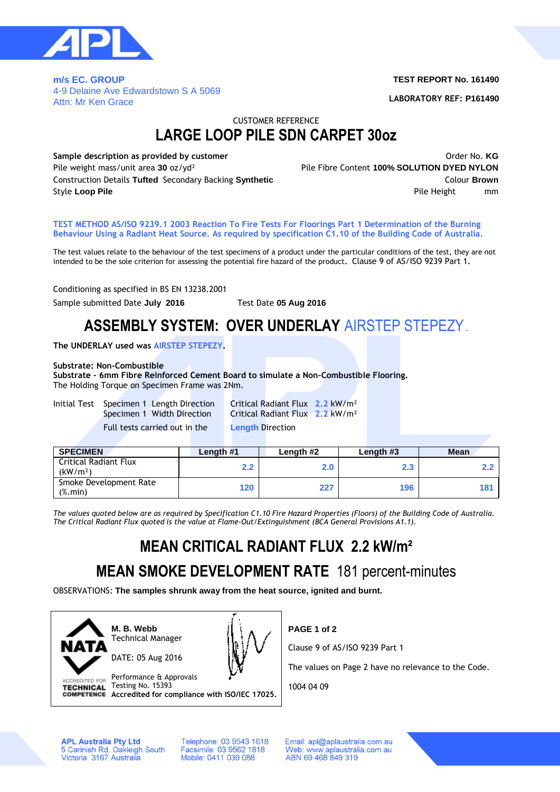

**m/s EC. GROUP**  4-9 Delaine Ave Edwardstown S A 5069 Attn: Mr Ken Grace

#### **TEST REPORT No. 161490**

**LABORATORY REF: P161490**

CUSTOMER REFERENCE

## **LARGE LOOP PILE SDN CARPET 30oz**

**Sample description as provided by customer Sample description as provided by customer Constanting Community** Community Community Community Community Community Community Community Community Community Community Communit Pile weight mass/unit area **30** oz/yd² Pile Fibre Content **100% SOLUTION DYED NYLON** Construction Details **Tufted** Secondary Backing **Synthetic** Colour **Brown Style Loop Pile Pile Height mm Pile Height mm Pile Height** mm

**TEST METHOD AS/ISO 9239.1 2003 Reaction To Fire Tests For Floorings Part 1 Determination of the Burning Behaviour Using a Radiant Heat Source. As required by specification C1.10 of the Building Code of Australia.**

The test values relate to the behaviour of the test specimens of a product under the particular conditions of the test, they are not intended to be the sole criterion for assessing the potential fire hazard of the product**.** Clause 9 of AS/ISO 9239 Part 1**.**

Conditioning as specified in BS EN 13238.2001

Sample submitted Date **July 2016** Test Date **05 Aug 2016**

## **ASSEMBLY SYSTEM: OVER UNDERLAY** AIRSTEP STEPEZY.

**The UNDERLAY used was AIRSTEP STEPEZY.**

#### **Substrate: Non-Combustible**

**Substrate – 6mm Fibre Reinforced Cement Board to simulate a Non-Combustible Flooring.** The Holding Torque on Specimen Frame was 2Nm.

Initial Test Specimen 1 Length Direction Critical Radiant Flux **2.2** kW/m² Full tests carried out in the **Length** Direction

Specimen 1 Width Direction Critical Radiant Flux **2.2** kW/m²

| <b>SPECIMEN</b>                                                  | Length #1 | Length #2 | Length #3        | <b>Mean</b> |
|------------------------------------------------------------------|-----------|-----------|------------------|-------------|
| <b>Critical Radiant Flux</b><br>(kW/m <sup>2</sup> )             | 2.2       | 2.0       | $2.3\phantom{0}$ |             |
| Smoke Development Rate<br>$(% \mathcal{L}_{0}^{\infty})$ (%.min) | 120       | 227       | 196              | 181         |

*The values quoted below are as required by Specification C1.10 Fire Hazard Properties (Floors) of the Building Code of Australia. The Critical Radiant Flux quoted is the value at Flame-Out/Extinguishment (BCA General Provisions A1.1).*

# **MEAN CRITICAL RADIANT FLUX 2.2 kW/m²**

## **MEAN SMOKE DEVELOPMENT RATE** 181 percent-minutes

OBSERVATIONS: **The samples shrunk away from the heat source, ignited and burnt.**



**M. B. Webb** Technical Manager

DATE: 05 Aug 2016



ACCREDITED FOR Performance & Approvals TECHNICAL Testing No. 15393 **Accredited for compliance with ISO/IEC 17025.** **PAGE 1 of 2**

Clause 9 of AS/ISO 9239 Part 1

The values on Page 2 have no relevance to the Code.

1004 04 09

**APL Australia Pty Ltd** 5 Carinish Rd, Oakleigh South<br>Victoria 3167 Australia Telephone: 03 9543 1618 Facsimile: 03 9562 1818 Mobile: 0411 039 088

Email: apl@aplaustralia.com.au Web: www.aplaustralia.com.au ABN 69 468 849 319